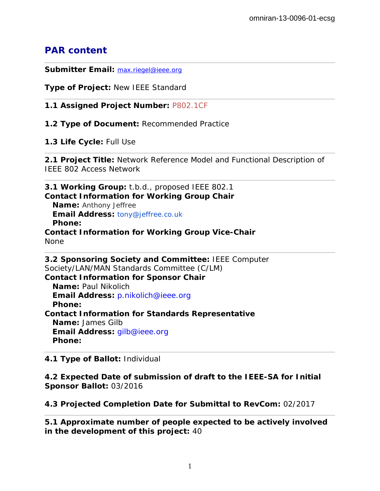# **PAR content**

**Submitter Email:** [max.riegel@ieee.org](mailto:max.riegel@ieee.org)

**Type of Project:** New IEEE Standard

### **1.1 Assigned Project Number:** P802.1CF

**1.2 Type of Document:** Recommended Practice

**1.3 Life Cycle:** Full Use

**2.1 Project Title:** Network Reference Model and Functional Description of IEEE 802 Access Network

**3.1 Working Group:** t.b.d., proposed IEEE 802.1 **Contact Information for Working Group Chair Name:** Anthony Jeffree **Email Address:** [tony@jeffree.co.uk](mailto:tony%40jeffree.co.uk) **Phone: Contact Information for Working Group Vice-Chair** None

**3.2 Sponsoring Society and Committee:** IEEE Computer Society/LAN/MAN Standards Committee (C/LM) **Contact Information for Sponsor Chair Name:** Paul Nikolich **Email Address:** [p.nikolich@ieee.org](mailto:p.nikolich%40ieee.org) **Phone: Contact Information for Standards Representative Name:** James Gilb **Email Address:** [gilb@ieee.org](mailto:gilb%40ieee.org) **Phone:** 

**4.1 Type of Ballot:** Individual

**4.2 Expected Date of submission of draft to the IEEE-SA for Initial Sponsor Ballot:** 03/2016

**4.3 Projected Completion Date for Submittal to RevCom:** 02/2017

**5.1 Approximate number of people expected to be actively involved in the development of this project:** 40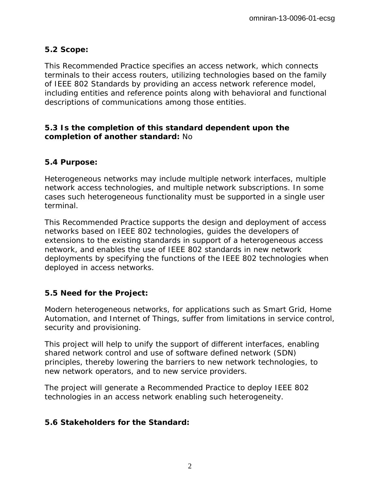## **5.2 Scope:**

This Recommended Practice specifies an access network, which connects terminals to their access routers, utilizing technologies based on the family of IEEE 802 Standards by providing an access network reference model, including entities and reference points along with behavioral and functional descriptions of communications among those entities.

## **5.3 Is the completion of this standard dependent upon the completion of another standard:** No

## **5.4 Purpose:**

Heterogeneous networks may include multiple network interfaces, multiple network access technologies, and multiple network subscriptions. In some cases such heterogeneous functionality must be supported in a single user terminal.

This Recommended Practice supports the design and deployment of access networks based on IEEE 802 technologies, guides the developers of extensions to the existing standards in support of a heterogeneous access network, and enables the use of IEEE 802 standards in new network deployments by specifying the functions of the IEEE 802 technologies when deployed in access networks.

# **5.5 Need for the Project:**

Modern heterogeneous networks, for applications such as Smart Grid, Home Automation, and Internet of Things, suffer from limitations in service control, security and provisioning.

This project will help to unify the support of different interfaces, enabling shared network control and use of software defined network (SDN) principles, thereby lowering the barriers to new network technologies, to new network operators, and to new service providers.

The project will generate a Recommended Practice to deploy IEEE 802 technologies in an access network enabling such heterogeneity.

### **5.6 Stakeholders for the Standard:**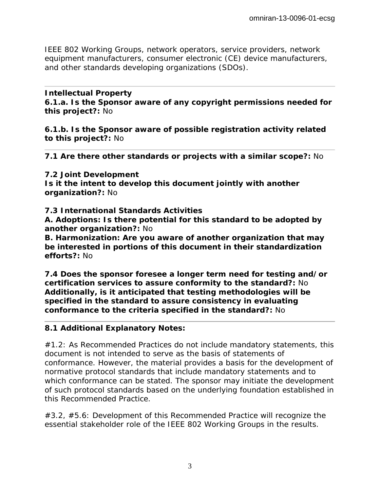IEEE 802 Working Groups, network operators, service providers, network equipment manufacturers, consumer electronic (CE) device manufacturers, and other standards developing organizations (SDOs).

#### **Intellectual Property**

**6.1.a. Is the Sponsor aware of any copyright permissions needed for this project?:** No

**6.1.b. Is the Sponsor aware of possible registration activity related to this project?:** No

**7.1 Are there other standards or projects with a similar scope?:** No

#### **7.2 Joint Development**

**Is it the intent to develop this document jointly with another organization?:** No

**7.3 International Standards Activities**

**A. Adoptions: Is there potential for this standard to be adopted by another organization?:** No

**B. Harmonization: Are you aware of another organization that may be interested in portions of this document in their standardization efforts?:** No

**7.4 Does the sponsor foresee a longer term need for testing and/or certification services to assure conformity to the standard?:** No **Additionally, is it anticipated that testing methodologies will be specified in the standard to assure consistency in evaluating conformance to the criteria specified in the standard?:** No

### **8.1 Additional Explanatory Notes:**

#1.2: As Recommended Practices do not include mandatory statements, this document is not intended to serve as the basis of statements of conformance. However, the material provides a basis for the development of normative protocol standards that include mandatory statements and to which conformance can be stated. The sponsor may initiate the development of such protocol standards based on the underlying foundation established in this Recommended Practice.

#3.2, #5.6: Development of this Recommended Practice will recognize the essential stakeholder role of the IEEE 802 Working Groups in the results.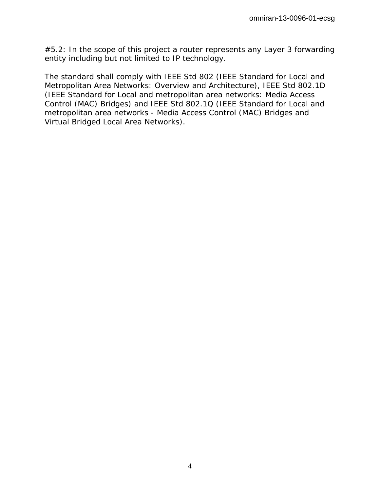#5.2: In the scope of this project a router represents any Layer 3 forwarding entity including but not limited to IP technology.

The standard shall comply with IEEE Std 802 (IEEE Standard for Local and Metropolitan Area Networks: Overview and Architecture), IEEE Std 802.1D (IEEE Standard for Local and metropolitan area networks: Media Access Control (MAC) Bridges) and IEEE Std 802.1Q (IEEE Standard for Local and metropolitan area networks - Media Access Control (MAC) Bridges and Virtual Bridged Local Area Networks).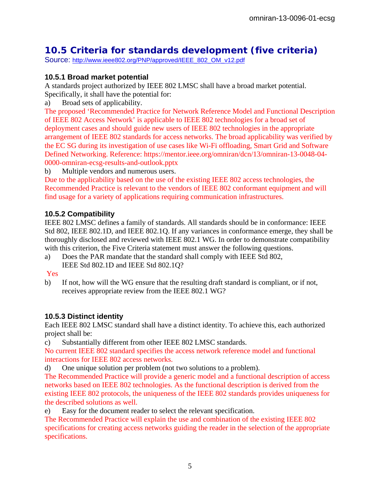# **10.5 Criteria for standards development (five criteria)**

Source: [http://www.ieee802.org/PNP/approved/IEEE\\_802\\_OM\\_v12.pdf](http://www.ieee802.org/PNP/approved/IEEE_802_OM_v12.pdf)

### **10.5.1 Broad market potential**

A standards project authorized by IEEE 802 LMSC shall have a broad market potential. Specifically, it shall have the potential for:

a) Broad sets of applicability.

The proposed 'Recommended Practice for Network Reference Model and Functional Description of IEEE 802 Access Network' is applicable to IEEE 802 technologies for a broad set of deployment cases and should guide new users of IEEE 802 technologies in the appropriate arrangement of IEEE 802 standards for access networks. The broad applicability was verified by the EC SG during its investigation of use cases like Wi-Fi offloading, Smart Grid and Software Defined Networking. Reference: https://mentor.ieee.org/omniran/dcn/13/omniran-13-0048-04- 0000-omniran-ecsg-results-and-outlook.pptx

b) Multiple vendors and numerous users.

Due to the applicability based on the use of the existing IEEE 802 access technologies, the Recommended Practice is relevant to the vendors of IEEE 802 conformant equipment and will find usage for a variety of applications requiring communication infrastructures.

#### **10.5.2 Compatibility**

IEEE 802 LMSC defines a family of standards. All standards should be in conformance: IEEE Std 802, IEEE 802.1D, and IEEE 802.1Q. If any variances in conformance emerge, they shall be thoroughly disclosed and reviewed with IEEE 802.1 WG. In order to demonstrate compatibility with this criterion, the Five Criteria statement must answer the following questions.

a) Does the PAR mandate that the standard shall comply with IEEE Std 802, IEEE Std 802.1D and IEEE Std 802.1Q?

Yes

b) If not, how will the WG ensure that the resulting draft standard is compliant, or if not, receives appropriate review from the IEEE 802.1 WG?

#### **10.5.3 Distinct identity**

Each IEEE 802 LMSC standard shall have a distinct identity. To achieve this, each authorized project shall be:

c) Substantially different from other IEEE 802 LMSC standards.

No current IEEE 802 standard specifies the access network reference model and functional interactions for IEEE 802 access networks.

d) One unique solution per problem (not two solutions to a problem).

The Recommended Practice will provide a generic model and a functional description of access networks based on IEEE 802 technologies. As the functional description is derived from the existing IEEE 802 protocols, the uniqueness of the IEEE 802 standards provides uniqueness for the described solutions as well.

e) Easy for the document reader to select the relevant specification.

The Recommended Practice will explain the use and combination of the existing IEEE 802 specifications for creating access networks guiding the reader in the selection of the appropriate specifications.